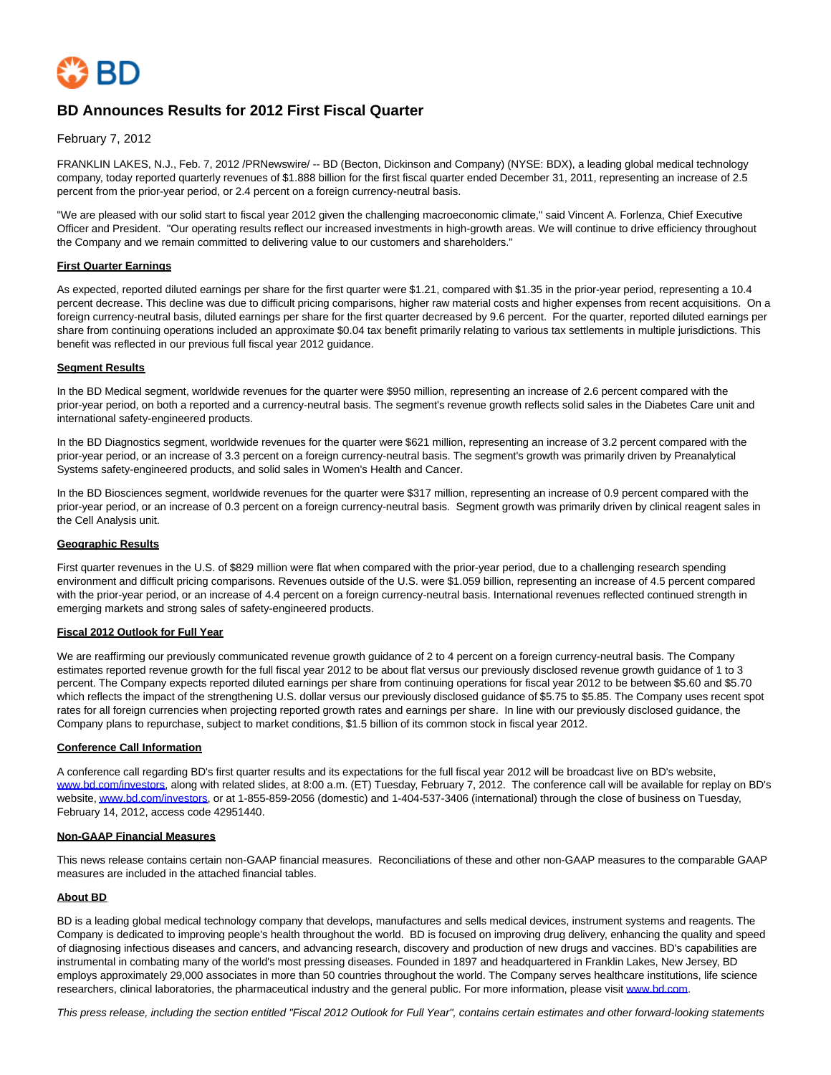

# **BD Announces Results for 2012 First Fiscal Quarter**

February 7, 2012

FRANKLIN LAKES, N.J., Feb. 7, 2012 /PRNewswire/ -- BD (Becton, Dickinson and Company) (NYSE: BDX), a leading global medical technology company, today reported quarterly revenues of \$1.888 billion for the first fiscal quarter ended December 31, 2011, representing an increase of 2.5 percent from the prior-year period, or 2.4 percent on a foreign currency-neutral basis.

"We are pleased with our solid start to fiscal year 2012 given the challenging macroeconomic climate," said Vincent A. Forlenza, Chief Executive Officer and President. "Our operating results reflect our increased investments in high-growth areas. We will continue to drive efficiency throughout the Company and we remain committed to delivering value to our customers and shareholders."

#### **First Quarter Earnings**

As expected, reported diluted earnings per share for the first quarter were \$1.21, compared with \$1.35 in the prior-year period, representing a 10.4 percent decrease. This decline was due to difficult pricing comparisons, higher raw material costs and higher expenses from recent acquisitions. On a foreign currency-neutral basis, diluted earnings per share for the first quarter decreased by 9.6 percent. For the quarter, reported diluted earnings per share from continuing operations included an approximate \$0.04 tax benefit primarily relating to various tax settlements in multiple jurisdictions. This benefit was reflected in our previous full fiscal year 2012 guidance.

#### **Segment Results**

In the BD Medical segment, worldwide revenues for the quarter were \$950 million, representing an increase of 2.6 percent compared with the prior-year period, on both a reported and a currency-neutral basis. The segment's revenue growth reflects solid sales in the Diabetes Care unit and international safety-engineered products.

In the BD Diagnostics segment, worldwide revenues for the quarter were \$621 million, representing an increase of 3.2 percent compared with the prior-year period, or an increase of 3.3 percent on a foreign currency-neutral basis. The segment's growth was primarily driven by Preanalytical Systems safety-engineered products, and solid sales in Women's Health and Cancer.

In the BD Biosciences segment, worldwide revenues for the quarter were \$317 million, representing an increase of 0.9 percent compared with the prior-year period, or an increase of 0.3 percent on a foreign currency-neutral basis. Segment growth was primarily driven by clinical reagent sales in the Cell Analysis unit.

#### **Geographic Results**

First quarter revenues in the U.S. of \$829 million were flat when compared with the prior-year period, due to a challenging research spending environment and difficult pricing comparisons. Revenues outside of the U.S. were \$1.059 billion, representing an increase of 4.5 percent compared with the prior-year period, or an increase of 4.4 percent on a foreign currency-neutral basis. International revenues reflected continued strength in emerging markets and strong sales of safety-engineered products.

#### **Fiscal 2012 Outlook for Full Year**

We are reaffirming our previously communicated revenue growth guidance of 2 to 4 percent on a foreign currency-neutral basis. The Company estimates reported revenue growth for the full fiscal year 2012 to be about flat versus our previously disclosed revenue growth guidance of 1 to 3 percent. The Company expects reported diluted earnings per share from continuing operations for fiscal year 2012 to be between \$5.60 and \$5.70 which reflects the impact of the strengthening U.S. dollar versus our previously disclosed guidance of \$5.75 to \$5.85. The Company uses recent spot rates for all foreign currencies when projecting reported growth rates and earnings per share. In line with our previously disclosed guidance, the Company plans to repurchase, subject to market conditions, \$1.5 billion of its common stock in fiscal year 2012.

#### **Conference Call Information**

A conference call regarding BD's first quarter results and its expectations for the full fiscal year 2012 will be broadcast live on BD's website, [www.bd.com/investors,](http://www.bd.com/investors) along with related slides, at 8:00 a.m. (ET) Tuesday, February 7, 2012. The conference call will be available for replay on BD's website[, www.bd.com/investors,](http://www.bd.com/investors) or at 1-855-859-2056 (domestic) and 1-404-537-3406 (international) through the close of business on Tuesday, February 14, 2012, access code 42951440.

#### **Non-GAAP Financial Measures**

This news release contains certain non-GAAP financial measures. Reconciliations of these and other non-GAAP measures to the comparable GAAP measures are included in the attached financial tables.

### **About BD**

BD is a leading global medical technology company that develops, manufactures and sells medical devices, instrument systems and reagents. The Company is dedicated to improving people's health throughout the world. BD is focused on improving drug delivery, enhancing the quality and speed of diagnosing infectious diseases and cancers, and advancing research, discovery and production of new drugs and vaccines. BD's capabilities are instrumental in combating many of the world's most pressing diseases. Founded in 1897 and headquartered in Franklin Lakes, New Jersey, BD employs approximately 29,000 associates in more than 50 countries throughout the world. The Company serves healthcare institutions, life science researchers, clinical laboratories, the pharmaceutical industry and the general public. For more information, please visit [www.bd.com.](http://www.bd.com/)

This press release, including the section entitled "Fiscal 2012 Outlook for Full Year", contains certain estimates and other forward-looking statements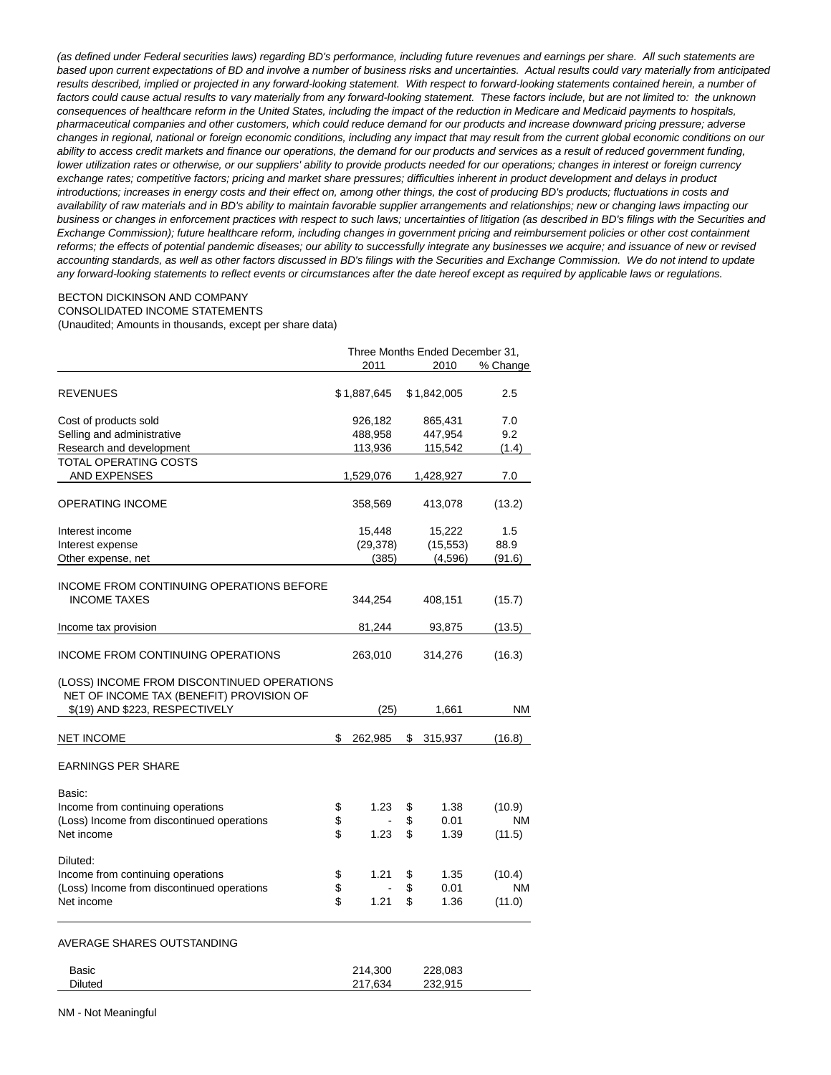(as defined under Federal securities laws) regarding BD's performance, including future revenues and earnings per share. All such statements are based upon current expectations of BD and involve a number of business risks and uncertainties. Actual results could vary materially from anticipated results described, implied or projected in any forward-looking statement. With respect to forward-looking statements contained herein, a number of factors could cause actual results to vary materially from any forward-looking statement. These factors include, but are not limited to: the unknown consequences of healthcare reform in the United States, including the impact of the reduction in Medicare and Medicaid payments to hospitals, pharmaceutical companies and other customers, which could reduce demand for our products and increase downward pricing pressure; adverse changes in regional, national or foreign economic conditions, including any impact that may result from the current global economic conditions on our ability to access credit markets and finance our operations, the demand for our products and services as a result of reduced government funding, lower utilization rates or otherwise, or our suppliers' ability to provide products needed for our operations; changes in interest or foreign currency exchange rates; competitive factors; pricing and market share pressures; difficulties inherent in product development and delays in product introductions; increases in energy costs and their effect on, among other things, the cost of producing BD's products; fluctuations in costs and availability of raw materials and in BD's ability to maintain favorable supplier arrangements and relationships; new or changing laws impacting our business or changes in enforcement practices with respect to such laws; uncertainties of litigation (as described in BD's filings with the Securities and Exchange Commission); future healthcare reform, including changes in government pricing and reimbursement policies or other cost containment reforms; the effects of potential pandemic diseases; our ability to successfully integrate any businesses we acquire; and issuance of new or revised accounting standards, as well as other factors discussed in BD's filings with the Securities and Exchange Commission. We do not intend to update any forward-looking statements to reflect events or circumstances after the date hereof except as required by applicable laws or regulations.

## BECTON DICKINSON AND COMPANY

CONSOLIDATED INCOME STATEMENTS

(Unaudited; Amounts in thousands, except per share data)

|                                                                                        | Three Months Ended December 31, |             |    |             |          |  |  |
|----------------------------------------------------------------------------------------|---------------------------------|-------------|----|-------------|----------|--|--|
|                                                                                        |                                 | 2011        |    | 2010        | % Change |  |  |
| <b>REVENUES</b>                                                                        |                                 | \$1,887,645 |    | \$1,842,005 | 2.5      |  |  |
| Cost of products sold                                                                  |                                 | 926,182     |    | 865,431     | 7.0      |  |  |
| Selling and administrative                                                             |                                 | 488,958     |    | 447,954     | 9.2      |  |  |
| Research and development                                                               |                                 | 113,936     |    | 115,542     | (1.4)    |  |  |
| <b>TOTAL OPERATING COSTS</b>                                                           |                                 |             |    |             |          |  |  |
| <b>AND EXPENSES</b>                                                                    |                                 | 1,529,076   |    | 1,428,927   | 7.0      |  |  |
| <b>OPERATING INCOME</b>                                                                |                                 | 358,569     |    | 413,078     | (13.2)   |  |  |
| Interest income                                                                        |                                 | 15,448      |    | 15,222      | 1.5      |  |  |
| Interest expense                                                                       |                                 | (29, 378)   |    | (15, 553)   | 88.9     |  |  |
| Other expense, net                                                                     |                                 | (385)       |    | (4,596)     | (91.6)   |  |  |
| INCOME FROM CONTINUING OPERATIONS BEFORE<br><b>INCOME TAXES</b>                        |                                 | 344,254     |    | 408,151     | (15.7)   |  |  |
| Income tax provision                                                                   |                                 | 81,244      |    | 93,875      | (13.5)   |  |  |
| INCOME FROM CONTINUING OPERATIONS                                                      |                                 | 263,010     |    | 314,276     | (16.3)   |  |  |
| (LOSS) INCOME FROM DISCONTINUED OPERATIONS<br>NET OF INCOME TAX (BENEFIT) PROVISION OF |                                 |             |    |             |          |  |  |
| \$(19) AND \$223, RESPECTIVELY                                                         |                                 | (25)        |    | 1,661       | ΝM       |  |  |
| <b>NET INCOME</b>                                                                      | \$                              | 262,985     | \$ | 315,937     | (16.8)   |  |  |
| <b>EARNINGS PER SHARE</b>                                                              |                                 |             |    |             |          |  |  |
| Basic:                                                                                 |                                 |             |    |             |          |  |  |
| Income from continuing operations                                                      | \$                              | 1.23        | \$ | 1.38        | (10.9)   |  |  |
| (Loss) Income from discontinued operations                                             | \$                              |             | \$ | 0.01        | ΝM       |  |  |
| Net income                                                                             | \$                              | 1.23        | \$ | 1.39        | (11.5)   |  |  |
| Diluted:                                                                               |                                 |             |    |             |          |  |  |
| Income from continuing operations                                                      | \$                              | 1.21        | \$ | 1.35        | (10.4)   |  |  |
| (Loss) Income from discontinued operations                                             |                                 |             | \$ | 0.01        | ΝM       |  |  |
| Net income                                                                             | \$<br>\$                        | 1.21        | \$ | 1.36        | (11.0)   |  |  |
|                                                                                        |                                 |             |    |             |          |  |  |
| AVERAGE SHARES OUTSTANDING                                                             |                                 |             |    |             |          |  |  |
| Basic                                                                                  |                                 | 214,300     |    | 228,083     |          |  |  |

Diluted 217,634 232,915

NM - Not Meaningful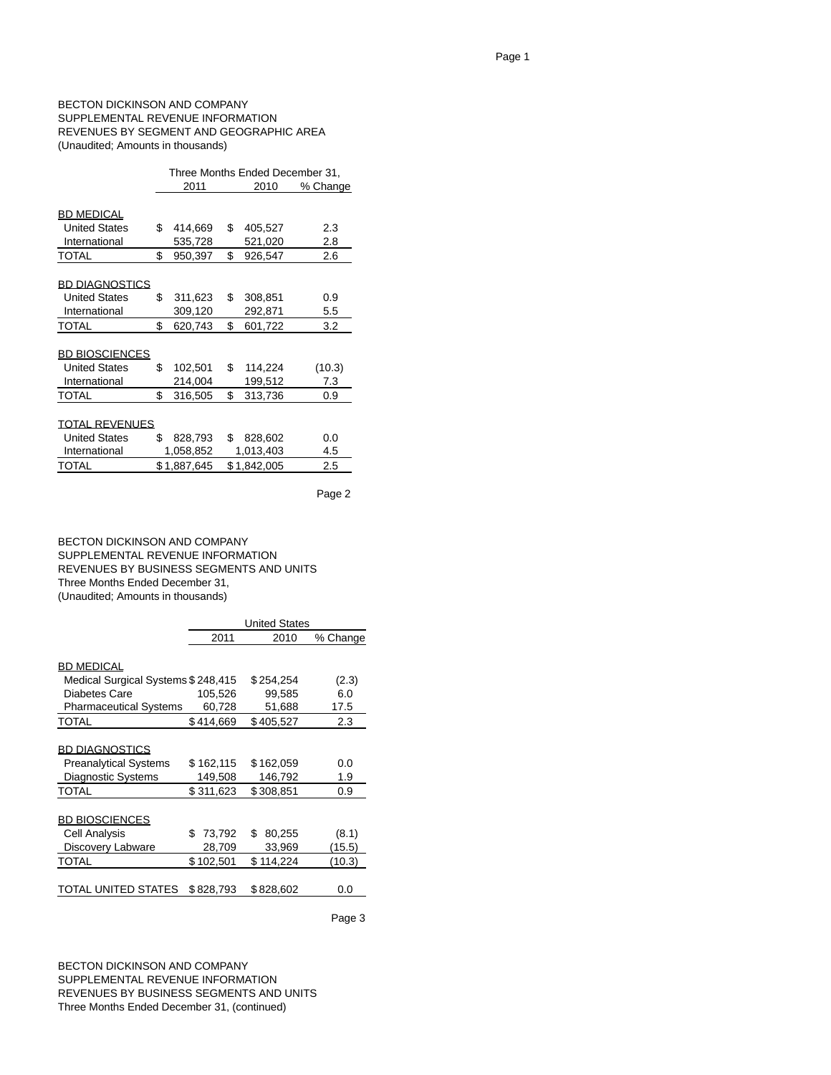|                       | Three Months Ended December 31, |             |          |             |        |  |  |  |  |
|-----------------------|---------------------------------|-------------|----------|-------------|--------|--|--|--|--|
|                       |                                 | 2011        | % Change |             |        |  |  |  |  |
|                       |                                 |             |          |             |        |  |  |  |  |
| <b>BD MEDICAL</b>     |                                 |             |          |             |        |  |  |  |  |
| <b>United States</b>  | \$                              | 414,669     | \$       | 405,527     | 2.3    |  |  |  |  |
| International         |                                 | 535,728     |          | 521,020     | 2.8    |  |  |  |  |
| <b>TOTAL</b>          | \$                              | 950,397     | \$       | 926,547     | 2.6    |  |  |  |  |
|                       |                                 |             |          |             |        |  |  |  |  |
| <b>BD DIAGNOSTICS</b> |                                 |             |          |             |        |  |  |  |  |
| <b>United States</b>  | \$                              | 311,623     | \$       | 308,851     | 0.9    |  |  |  |  |
| International         |                                 | 309,120     |          | 292,871     | 5.5    |  |  |  |  |
| <b>TOTAL</b>          | \$                              | 620,743     | \$       | 601,722     | 3.2    |  |  |  |  |
| <b>BD BIOSCIENCES</b> |                                 |             |          |             |        |  |  |  |  |
| <b>United States</b>  | \$                              | 102,501     | \$       | 114,224     | (10.3) |  |  |  |  |
| International         |                                 | 214,004     |          | 199,512     | 7.3    |  |  |  |  |
| <b>TOTAL</b>          | \$                              | 316,505     | \$       | 313,736     | 0.9    |  |  |  |  |
| <b>TOTAL REVENUES</b> |                                 |             |          |             |        |  |  |  |  |
| <b>United States</b>  | \$                              | 828,793     | \$       | 828,602     | 0.0    |  |  |  |  |
| International         |                                 | 1,058,852   |          | 1,013,403   | 4.5    |  |  |  |  |
| <b>TOTAL</b>          |                                 | \$1,887,645 |          | \$1,842,005 | 2.5    |  |  |  |  |

Page 2

BECTON DICKINSON AND COMPANY SUPPLEMENTAL REVENUE INFORMATION REVENUES BY BUSINESS SEGMENTS AND UNITS Three Months Ended December 31, (Unaudited; Amounts in thousands)

|                                    |              | <b>United States</b> |          |
|------------------------------------|--------------|----------------------|----------|
|                                    | 2011         | 2010                 | % Change |
|                                    |              |                      |          |
| <b>BD MEDICAL</b>                  |              |                      |          |
| Medical Surgical Systems \$248,415 |              | \$254,254            | (2.3)    |
| Diabetes Care                      | 105,526      | 99,585               | 6.0      |
| <b>Pharmaceutical Systems</b>      | 60,728       | 51,688               | 17.5     |
| <b>TOTAL</b>                       | \$414,669    | \$405,527            | 2.3      |
|                                    |              |                      |          |
| <b>BD DIAGNOSTICS</b>              |              |                      |          |
| <b>Preanalytical Systems</b>       | \$162,115    | \$162,059            | 0.0      |
| <b>Diagnostic Systems</b>          | 149,508      | 146,792              | 1.9      |
| <b>TOTAL</b>                       | \$311,623    | \$308,851            | 0.9      |
|                                    |              |                      |          |
| <b>BD BIOSCIENCES</b>              |              |                      |          |
| Cell Analysis                      | 73,792<br>\$ | \$<br>80,255         | (8.1)    |
| Discovery Labware                  | 28,709       | 33,969               | (15.5)   |
| <b>TOTAL</b>                       | \$102,501    | \$114,224            | (10.3)   |
|                                    |              |                      |          |
| TOTAL UNITED STATES                | \$828,793    | \$828,602            | 0.0      |
|                                    |              |                      |          |

Page 3

BECTON DICKINSON AND COMPANY SUPPLEMENTAL REVENUE INFORMATION REVENUES BY BUSINESS SEGMENTS AND UNITS Three Months Ended December 31, (continued)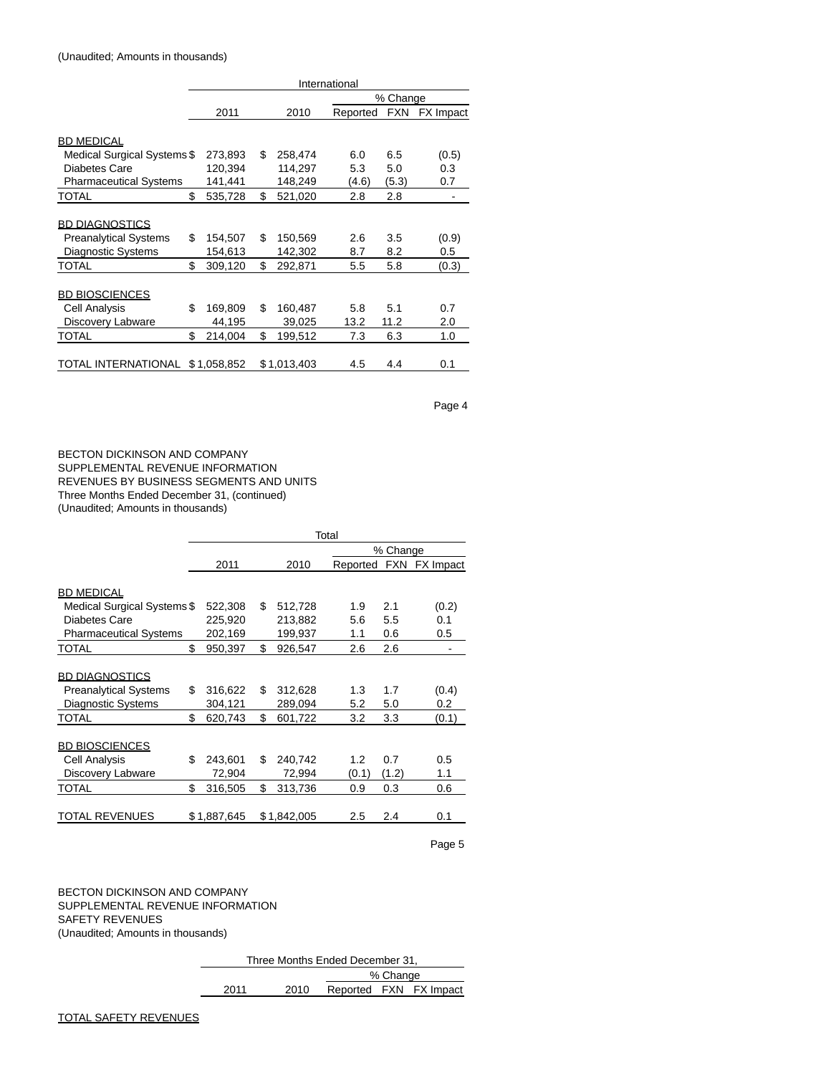|                                                                                    | International            |    |                    |             |             |              |  |  |  |
|------------------------------------------------------------------------------------|--------------------------|----|--------------------|-------------|-------------|--------------|--|--|--|
|                                                                                    |                          |    |                    | % Change    |             |              |  |  |  |
|                                                                                    | 2011                     |    | 2010               | Reported    | <b>FXN</b>  | FX Impact    |  |  |  |
| <b>BD MEDICAL</b>                                                                  |                          |    |                    |             |             |              |  |  |  |
| Medical Surgical Systems \$                                                        | 273,893                  | \$ | 258,474            | 6.0         | 6.5         | (0.5)        |  |  |  |
| Diabetes Care                                                                      | 120,394                  |    | 114,297            | 5.3         | 5.0         | 0.3          |  |  |  |
| <b>Pharmaceutical Systems</b>                                                      | 141,441                  |    | 148,249            | (4.6)       | (5.3)       | 0.7          |  |  |  |
| TOTAL                                                                              | \$<br>535,728            | \$ | 521,020            | 2.8         | 2.8         |              |  |  |  |
| <b>BD DIAGNOSTICS</b><br><b>Preanalytical Systems</b><br><b>Diagnostic Systems</b> | \$<br>154,507<br>154,613 | \$ | 150,569<br>142,302 | 2.6<br>8.7  | 3.5<br>8.2  | (0.9)<br>0.5 |  |  |  |
| TOTAL                                                                              | \$<br>309,120            | \$ | 292,871            | 5.5         | 5.8         | (0.3)        |  |  |  |
| <b>BD BIOSCIENCES</b><br>Cell Analysis<br>Discovery Labware                        | \$<br>169,809<br>44,195  | \$ | 160,487<br>39,025  | 5.8<br>13.2 | 5.1<br>11.2 | 0.7<br>2.0   |  |  |  |
| TOTAL                                                                              | \$<br>214,004            | \$ | 199,512            | 7.3         | 6.3         | 1.0          |  |  |  |
| TOTAL INTERNATIONAL                                                                | \$1,058,852              |    | \$1,013,403        | 4.5         | 4.4         | 0.1          |  |  |  |

Page 4

BECTON DICKINSON AND COMPANY SUPPLEMENTAL REVENUE INFORMATION REVENUES BY BUSINESS SEGMENTS AND UNITS Three Months Ended December 31, (continued) (Unaudited; Amounts in thousands)

|                                        | Total |             |     |             |          |            |           |  |  |  |
|----------------------------------------|-------|-------------|-----|-------------|----------|------------|-----------|--|--|--|
|                                        |       |             |     |             | % Change |            |           |  |  |  |
|                                        |       | 2011        |     | 2010        | Reported | <b>FXN</b> | FX Impact |  |  |  |
| <b>BD MEDICAL</b>                      |       |             |     |             |          |            |           |  |  |  |
| Medical Surgical Systems \$            |       | 522,308     | \$  | 512,728     | 1.9      | 2.1        | (0.2)     |  |  |  |
| Diabetes Care                          |       | 225,920     |     | 213,882     | 5.6      | 5.5        | 0.1       |  |  |  |
| <b>Pharmaceutical Systems</b>          |       | 202,169     |     | 199,937     | 1.1      | 0.6        | 0.5       |  |  |  |
| TOTAL                                  | \$    | 950,397     | \$  | 926,547     | 2.6      | 2.6        |           |  |  |  |
| <b>BD DIAGNOSTICS</b>                  |       |             |     |             |          |            |           |  |  |  |
| <b>Preanalytical Systems</b>           | \$    | 316,622     | \$. | 312,628     | 1.3      | 1.7        | (0.4)     |  |  |  |
| Diagnostic Systems                     |       | 304,121     |     | 289,094     | 5.2      | 5.0        | 0.2       |  |  |  |
| TOTAL                                  | \$    | 620,743     | \$  | 601,722     | 3.2      | 3.3        | (0.1)     |  |  |  |
| <b>BD BIOSCIENCES</b><br>Cell Analysis | \$    | 243,601     | \$. | 240.742     | 1.2      | 0.7        | 0.5       |  |  |  |
| Discovery Labware                      |       | 72,904      |     | 72,994      | (0.1)    | (1.2)      | 1.1       |  |  |  |
| TOTAL                                  | \$    | 316,505     | \$  | 313,736     | 0.9      | 0.3        | 0.6       |  |  |  |
| <b>TOTAL REVENUES</b>                  |       | \$1,887,645 |     | \$1,842,005 | 2.5      | 2.4        | 0.1       |  |  |  |

Page 5

BECTON DICKINSON AND COMPANY SUPPLEMENTAL REVENUE INFORMATION SAFETY REVENUES (Unaudited; Amounts in thousands)

> Three Months Ended December 31, % Change 2011 2010 Reported FXN FX Impact

TOTAL SAFETY REVENUES